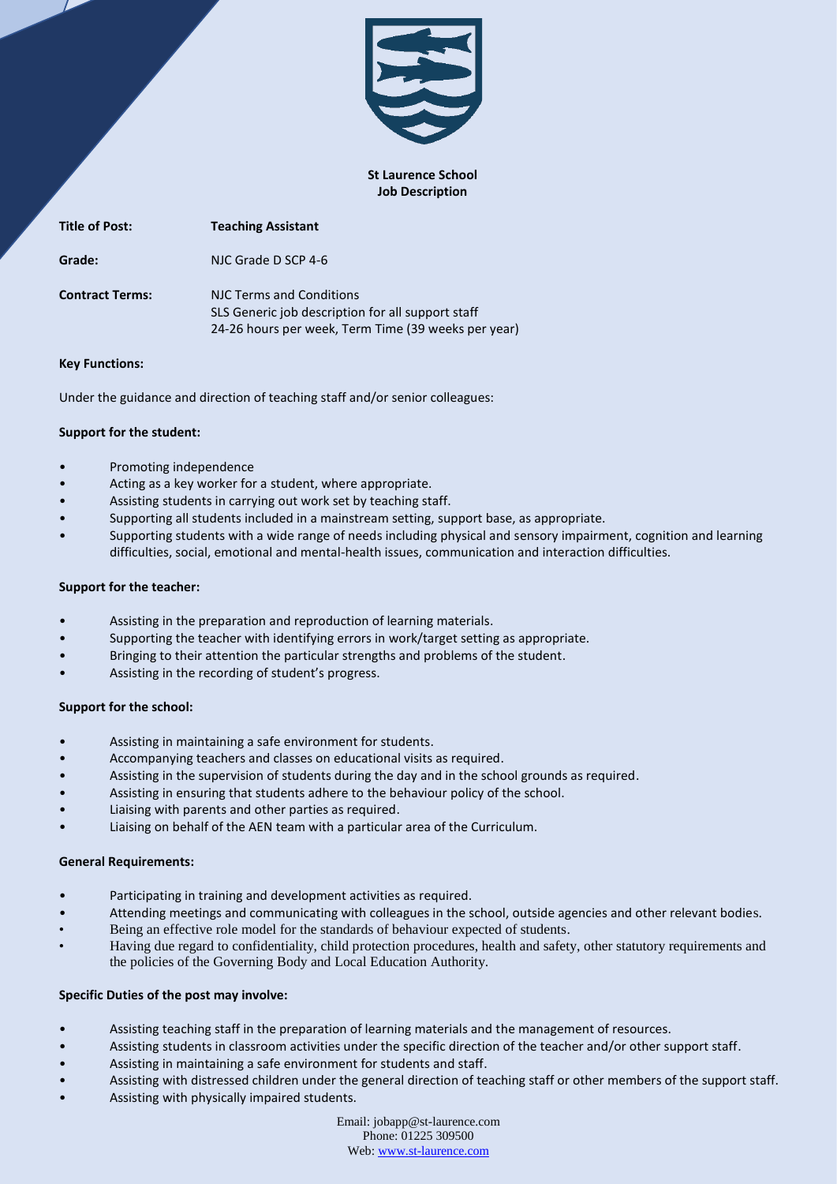

### **St Laurence School Job Description**

| <b>Title of Post:</b>  | <b>Teaching Assistant</b>                                                                                                            |
|------------------------|--------------------------------------------------------------------------------------------------------------------------------------|
| Grade:                 | NJC Grade D SCP 4-6                                                                                                                  |
| <b>Contract Terms:</b> | NJC Terms and Conditions<br>SLS Generic job description for all support staff<br>24-26 hours per week, Term Time (39 weeks per year) |

## **Key Functions:**

Under the guidance and direction of teaching staff and/or senior colleagues:

# **Support for the student:**

- Promoting independence
- Acting as a key worker for a student, where appropriate.
- Assisting students in carrying out work set by teaching staff.
- Supporting all students included in a mainstream setting, support base, as appropriate.
- Supporting students with a wide range of needs including physical and sensory impairment, cognition and learning difficulties, social, emotional and mental-health issues, communication and interaction difficulties.

# **Support for the teacher:**

- Assisting in the preparation and reproduction of learning materials.
- Supporting the teacher with identifying errors in work/target setting as appropriate.
- Bringing to their attention the particular strengths and problems of the student.
- Assisting in the recording of student's progress.

## **Support for the school:**

- Assisting in maintaining a safe environment for students.
- Accompanying teachers and classes on educational visits as required.
- Assisting in the supervision of students during the day and in the school grounds as required.
- Assisting in ensuring that students adhere to the behaviour policy of the school.
- Liaising with parents and other parties as required.
- Liaising on behalf of the AEN team with a particular area of the Curriculum.

## **General Requirements:**

- Participating in training and development activities as required.
- Attending meetings and communicating with colleagues in the school, outside agencies and other relevant bodies.
- Being an effective role model for the standards of behaviour expected of students.
- Having due regard to confidentiality, child protection procedures, health and safety, other statutory requirements and the policies of the Governing Body and Local Education Authority.

## **Specific Duties of the post may involve:**

- Assisting teaching staff in the preparation of learning materials and the management of resources.
- Assisting students in classroom activities under the specific direction of the teacher and/or other support staff.
- Assisting in maintaining a safe environment for students and staff.
- Assisting with distressed children under the general direction of teaching staff or other members of the support staff.
- Assisting with physically impaired students.